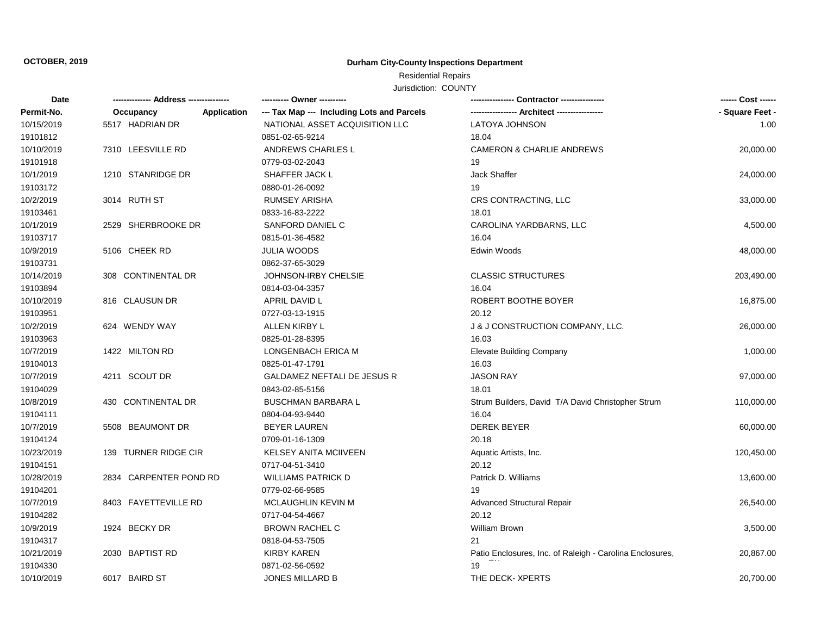# **OCTOBER, 2019 Durham City-County Inspections Department**

# Residential Repairs

Jurisdiction: COUNTY

| Date       |                        |             | ---------- Owner ----------                |                                                          | ------ Cost ------ |
|------------|------------------------|-------------|--------------------------------------------|----------------------------------------------------------|--------------------|
| Permit-No. | Occupancy              | Application | --- Tax Map --- Including Lots and Parcels |                                                          | - Square Feet -    |
| 10/15/2019 | 5517 HADRIAN DR        |             | NATIONAL ASSET ACQUISITION LLC             | <b>LATOYA JOHNSON</b>                                    | 1.00               |
| 19101812   |                        |             | 0851-02-65-9214                            | 18.04                                                    |                    |
| 10/10/2019 | 7310 LEESVILLE RD      |             | ANDREWS CHARLES L                          | <b>CAMERON &amp; CHARLIE ANDREWS</b>                     | 20,000.00          |
| 19101918   |                        |             | 0779-03-02-2043                            | 19                                                       |                    |
| 10/1/2019  | 1210 STANRIDGE DR      |             | SHAFFER JACK L                             | <b>Jack Shaffer</b>                                      | 24,000.00          |
| 19103172   |                        |             | 0880-01-26-0092                            | 19                                                       |                    |
| 10/2/2019  | 3014 RUTH ST           |             | RUMSEY ARISHA                              | CRS CONTRACTING, LLC                                     | 33,000.00          |
| 19103461   |                        |             | 0833-16-83-2222                            | 18.01                                                    |                    |
| 10/1/2019  | 2529 SHERBROOKE DR     |             | SANFORD DANIEL C                           | CAROLINA YARDBARNS, LLC                                  | 4,500.00           |
| 19103717   |                        |             | 0815-01-36-4582                            | 16.04                                                    |                    |
| 10/9/2019  | 5106 CHEEK RD          |             | <b>JULIA WOODS</b>                         | Edwin Woods                                              | 48,000.00          |
| 19103731   |                        |             | 0862-37-65-3029                            |                                                          |                    |
| 10/14/2019 | 308 CONTINENTAL DR     |             | <b>JOHNSON-IRBY CHELSIE</b>                | <b>CLASSIC STRUCTURES</b>                                | 203,490.00         |
| 19103894   |                        |             | 0814-03-04-3357                            | 16.04                                                    |                    |
| 10/10/2019 | 816 CLAUSUN DR         |             | APRIL DAVID L                              | ROBERT BOOTHE BOYER                                      | 16,875.00          |
| 19103951   |                        |             | 0727-03-13-1915                            | 20.12                                                    |                    |
| 10/2/2019  | 624 WENDY WAY          |             | ALLEN KIRBY L                              | J & J CONSTRUCTION COMPANY, LLC.                         | 26,000.00          |
| 19103963   |                        |             | 0825-01-28-8395                            | 16.03                                                    |                    |
| 10/7/2019  | 1422 MILTON RD         |             | LONGENBACH ERICA M                         | <b>Elevate Building Company</b>                          | 1,000.00           |
| 19104013   |                        |             | 0825-01-47-1791                            | 16.03                                                    |                    |
| 10/7/2019  | 4211 SCOUT DR          |             | GALDAMEZ NEFTALI DE JESUS R                | <b>JASON RAY</b>                                         | 97,000.00          |
| 19104029   |                        |             | 0843-02-85-5156                            | 18.01                                                    |                    |
| 10/8/2019  | 430 CONTINENTAL DR     |             | <b>BUSCHMAN BARBARA L</b>                  | Strum Builders, David T/A David Christopher Strum        | 110,000.00         |
| 19104111   |                        |             | 0804-04-93-9440                            | 16.04                                                    |                    |
| 10/7/2019  | 5508 BEAUMONT DR       |             | <b>BEYER LAUREN</b>                        | <b>DEREK BEYER</b>                                       | 60,000.00          |
| 19104124   |                        |             | 0709-01-16-1309                            | 20.18                                                    |                    |
| 10/23/2019 | 139 TURNER RIDGE CIR   |             | <b>KELSEY ANITA MCIIVEEN</b>               | Aquatic Artists, Inc.                                    | 120,450.00         |
| 19104151   |                        |             | 0717-04-51-3410                            | 20.12                                                    |                    |
| 10/28/2019 | 2834 CARPENTER POND RD |             | <b>WILLIAMS PATRICK D</b>                  | Patrick D. Williams                                      | 13,600.00          |
| 19104201   |                        |             | 0779-02-66-9585                            | 19                                                       |                    |
| 10/7/2019  | 8403 FAYETTEVILLE RD   |             | MCLAUGHLIN KEVIN M                         | Advanced Structural Repair                               | 26,540.00          |
| 19104282   |                        |             | 0717-04-54-4667                            | 20.12                                                    |                    |
| 10/9/2019  | 1924 BECKY DR          |             | <b>BROWN RACHEL C</b>                      | <b>William Brown</b>                                     | 3,500.00           |
| 19104317   |                        |             | 0818-04-53-7505                            | 21                                                       |                    |
| 10/21/2019 | 2030 BAPTIST RD        |             | <b>KIRBY KAREN</b>                         | Patio Enclosures, Inc. of Raleigh - Carolina Enclosures, | 20,867.00          |
| 19104330   |                        |             | 0871-02-56-0592                            | 19                                                       |                    |
| 10/10/2019 | 6017 BAIRD ST          |             | <b>JONES MILLARD B</b>                     | THE DECK-XPERTS                                          | 20,700.00          |